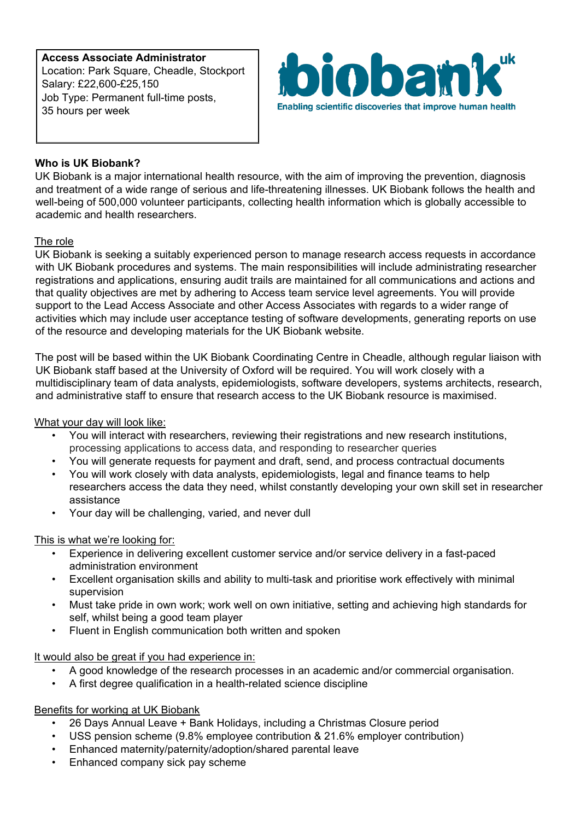**Access Associate Administrator** Location: Park Square, Cheadle, Stockport Salary: £22,600-£25,150 Job Type: Permanent full-time posts, 35 hours per week



# **Who is UK Biobank?**

UK Biobank is a major international health resource, with the aim of improving the prevention, diagnosis and treatment of a wide range of serious and life-threatening illnesses. UK Biobank follows the health and well-being of 500,000 volunteer participants, collecting health information which is globally accessible to academic and health researchers.

### The role

UK Biobank is seeking a suitably experienced person to manage research access requests in accordance with UK Biobank procedures and systems. The main responsibilities will include administrating researcher registrations and applications, ensuring audit trails are maintained for all communications and actions and that quality objectives are met by adhering to Access team service level agreements. You will provide support to the Lead Access Associate and other Access Associates with regards to a wider range of activities which may include user acceptance testing of software developments, generating reports on use of the resource and developing materials for the UK Biobank website.

The post will be based within the UK Biobank Coordinating Centre in Cheadle, although regular liaison with UK Biobank staff based at the University of Oxford will be required. You will work closely with a multidisciplinary team of data analysts, epidemiologists, software developers, systems architects, research, and administrative staff to ensure that research access to the UK Biobank resource is maximised.

#### What your day will look like:

- You will interact with researchers, reviewing their registrations and new research institutions, processing applications to access data, and responding to researcher queries
- You will generate requests for payment and draft, send, and process contractual documents
- You will work closely with data analysts, epidemiologists, legal and finance teams to help researchers access the data they need, whilst constantly developing your own skill set in researcher assistance
- Your day will be challenging, varied, and never dull

#### This is what we're looking for:

- Experience in delivering excellent customer service and/or service delivery in a fast-paced administration environment
- Excellent organisation skills and ability to multi-task and prioritise work effectively with minimal supervision
- Must take pride in own work; work well on own initiative, setting and achieving high standards for self, whilst being a good team player
- Fluent in English communication both written and spoken

#### It would also be great if you had experience in:

- A good knowledge of the research processes in an academic and/or commercial organisation.
- A first degree qualification in a health-related science discipline

## Benefits for working at UK Biobank

- 26 Days Annual Leave + Bank Holidays, including a Christmas Closure period
- USS pension scheme (9.8% employee contribution & 21.6% employer contribution)
- Enhanced maternity/paternity/adoption/shared parental leave
- Enhanced company sick pay scheme